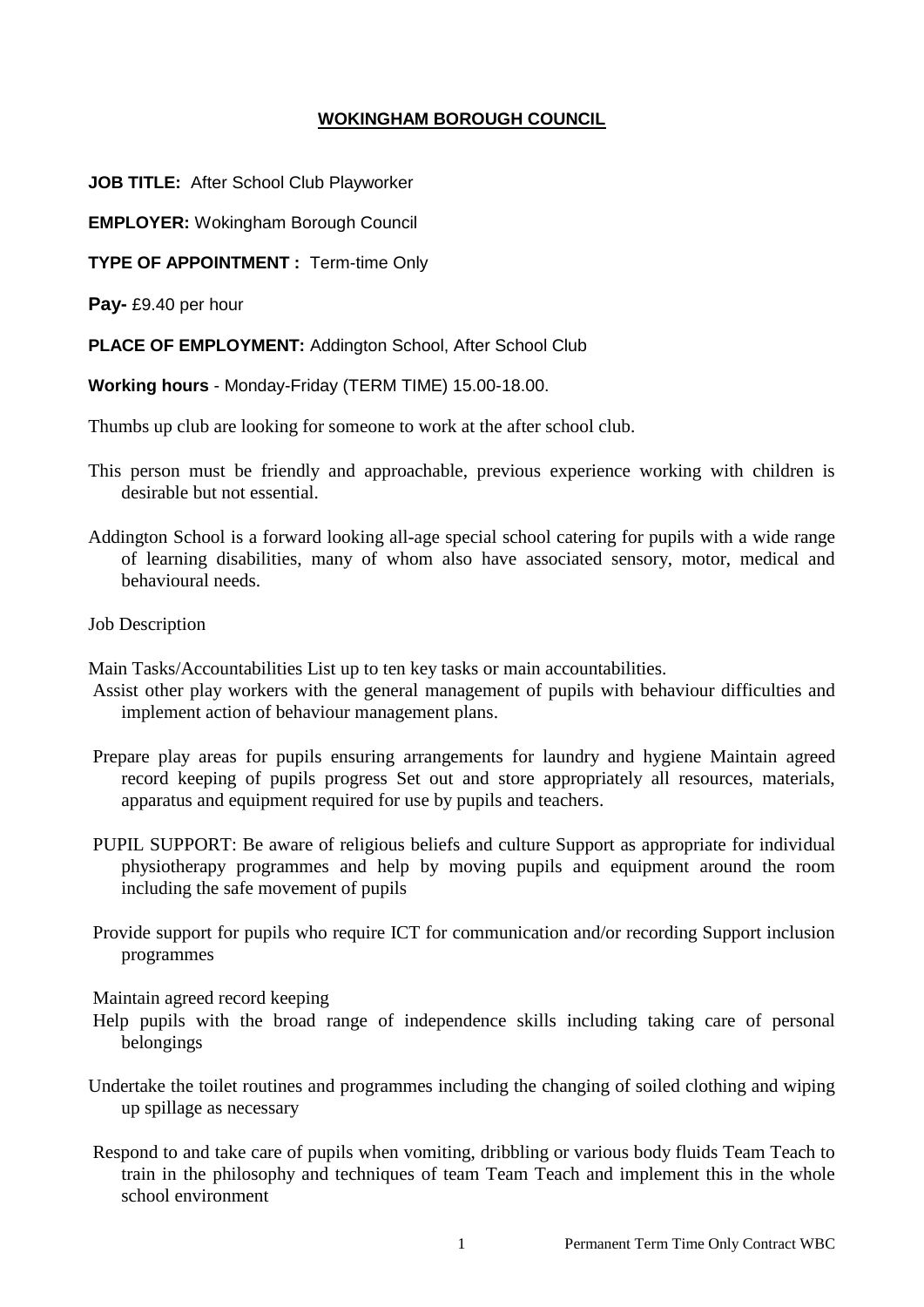## **WOKINGHAM BOROUGH COUNCIL**

**JOB TITLE:** After School Club Playworker

**EMPLOYER:** Wokingham Borough Council

**TYPE OF APPOINTMENT :** Term-time Only

**Pay-** £9.40 per hour

**PLACE OF EMPLOYMENT:** Addington School, After School Club

**Working hours** - Monday-Friday (TERM TIME) 15.00-18.00.

Thumbs up club are looking for someone to work at the after school club.

- This person must be friendly and approachable, previous experience working with children is desirable but not essential.
- Addington School is a forward looking all-age special school catering for pupils with a wide range of learning disabilities, many of whom also have associated sensory, motor, medical and behavioural needs.
- Job Description

Main Tasks/Accountabilities List up to ten key tasks or main accountabilities.

- Assist other play workers with the general management of pupils with behaviour difficulties and implement action of behaviour management plans.
- Prepare play areas for pupils ensuring arrangements for laundry and hygiene Maintain agreed record keeping of pupils progress Set out and store appropriately all resources, materials, apparatus and equipment required for use by pupils and teachers.
- PUPIL SUPPORT: Be aware of religious beliefs and culture Support as appropriate for individual physiotherapy programmes and help by moving pupils and equipment around the room including the safe movement of pupils
- Provide support for pupils who require ICT for communication and/or recording Support inclusion programmes

Maintain agreed record keeping

- Help pupils with the broad range of independence skills including taking care of personal belongings
- Undertake the toilet routines and programmes including the changing of soiled clothing and wiping up spillage as necessary
- Respond to and take care of pupils when vomiting, dribbling or various body fluids Team Teach to train in the philosophy and techniques of team Team Teach and implement this in the whole school environment